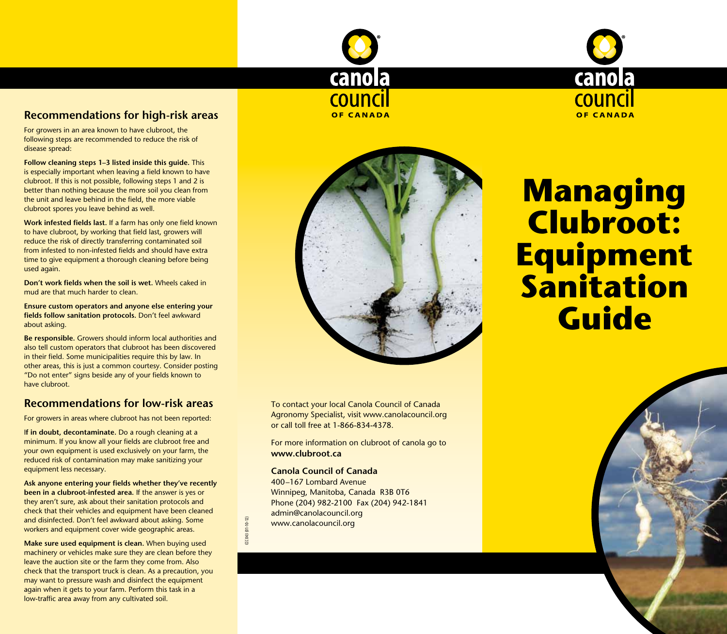

## **Recommendations for high-risk areas**

For growers in an area known to have clubroot, the following steps are recommended to reduce the risk of disease spread:

**Follow cleaning steps 1–3 listed inside this guide.** This is especially important when leaving a field known to have clubroot. If this is not possible, following steps 1 and 2 is better than nothing because the more soil you clean from the unit and leave behind in the field, the more viable clubroot spores you leave behind as well.

**Work infested fields last.** If a farm has only one field known to have clubroot, by working that field last, growers will reduce the risk of directly transferring contaminated soil from infested to non-infested fields and should have extra time to give equipment a thorough cleaning before being used again.

**Don't work fields when the soil is wet.** Wheels caked in mud are that much harder to clean.

**Ensure custom operators and anyone else entering your fields follow sanitation protocols.** Don't feel awkward about asking.

**Be responsible.** Growers should inform local authorities and also tell custom operators that clubroot has been discovered in their field. Some municipalities require this by law. In other areas, this is just a common courtesy. Consider posting "Do not enter" signs beside any of your fields known to have clubroot.

## **Recommendations for low-risk areas**

For growers in areas where clubroot has not been reported:

I**f in doubt, decontaminate.** Do a rough cleaning at a minimum. If you know all your fields are clubroot free and your own equipment is used exclusively on your farm, the reduced risk of contamination may make sanitizing your equipment less necessary.

**Ask anyone entering your fields whether they've recently been in a clubroot-infested area.** If the answer is yes or they aren't sure, ask about their sanitation protocols and check that their vehicles and equipment have been cleaned and disinfected. Don't feel awkward about asking. Some workers and equipment cover wide geographic areas.

**Make sure used equipment is clean.** When buying used machinery or vehicles make sure they are clean before they leave the auction site or the farm they come from. Also check that the transport truck is clean. As a precaution, you may want to pressure wash and disinfect the equipment again when it gets to your farm. Perform this task in a low-traffic area away from any cultivated soil.



To contact your local Canola Council of Canada Agronomy Specialist, visit www.canolacouncil.org or call toll free at 1-866-834-4378.

For more information on clubroot of canola go to **www.clubroot.ca**

#### **Canola Council of Canada**

CCC 043 (01-10-12)

 $10 - 12$ CCC 043 (01-

400–167 Lombard Avenue Winnipeg, Manitoba, Canada R3B 0T6 Phone (204) 982-2100 Fax (204) 942-1841 admin@canolacouncil.org www.canolacouncil.org

# **Managing Clubroot: Equipment Sanitation Guide**

canola

**COUNCIL** 

**OF CANADA**